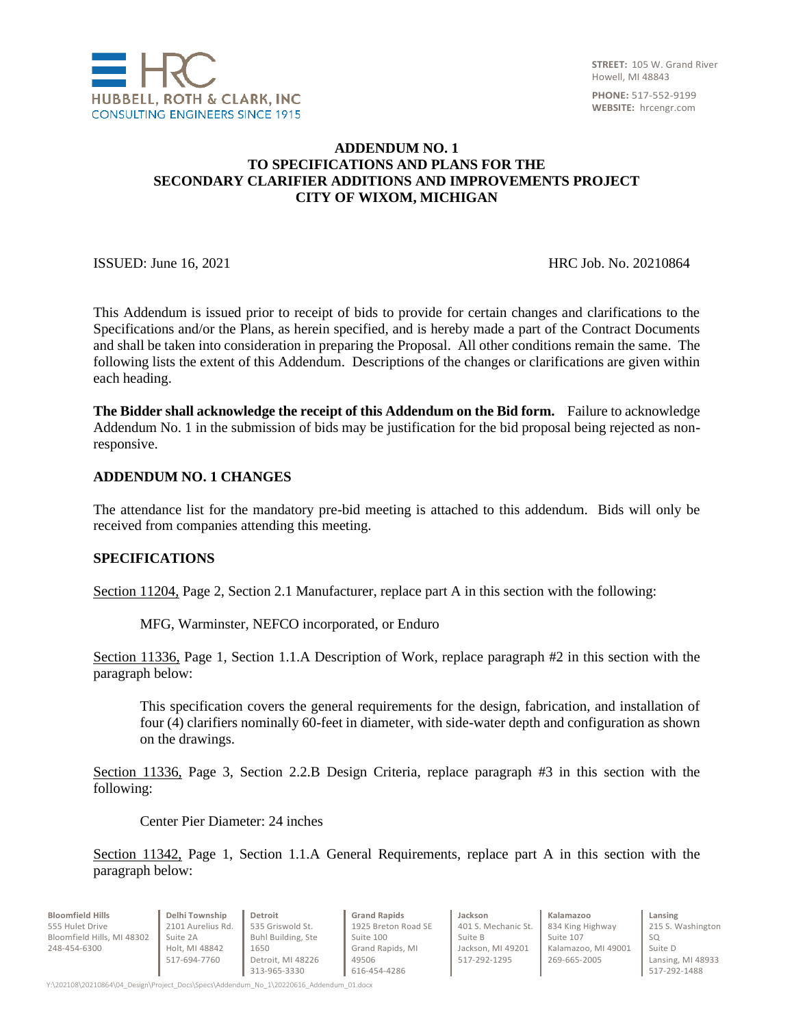

### **ADDENDUM NO. 1 TO SPECIFICATIONS AND PLANS FOR THE SECONDARY CLARIFIER ADDITIONS AND IMPROVEMENTS PROJECT CITY OF WIXOM, MICHIGAN**

**ISSUED:** June 16, 2021 **HRC** Job. No. 20210864

This Addendum is issued prior to receipt of bids to provide for certain changes and clarifications to the Specifications and/or the Plans, as herein specified, and is hereby made a part of the Contract Documents and shall be taken into consideration in preparing the Proposal. All other conditions remain the same. The following lists the extent of this Addendum. Descriptions of the changes or clarifications are given within each heading.

**The Bidder shall acknowledge the receipt of this Addendum on the Bid form.** Failure to acknowledge Addendum No. 1 in the submission of bids may be justification for the bid proposal being rejected as nonresponsive.

### **ADDENDUM NO. 1 CHANGES**

The attendance list for the mandatory pre-bid meeting is attached to this addendum. Bids will only be received from companies attending this meeting.

#### **SPECIFICATIONS**

Section 11204, Page 2, Section 2.1 Manufacturer, replace part A in this section with the following:

MFG, Warminster, NEFCO incorporated, or Enduro

Section 11336, Page 1, Section 1.1.A Description of Work, replace paragraph #2 in this section with the paragraph below:

This specification covers the general requirements for the design, fabrication, and installation of four (4) clarifiers nominally 60-feet in diameter, with side-water depth and configuration as shown on the drawings.

Section 11336, Page 3, Section 2.2.B Design Criteria, replace paragraph #3 in this section with the following:

Center Pier Diameter: 24 inches

Section 11342, Page 1, Section 1.1.A General Requirements, replace part A in this section with the paragraph below:

| <b>Bloomfield Hills</b>    | Delhi Township    | Detroit            | <b>Grand Rapids</b> | Jackson             | Kalamazoo           |  |
|----------------------------|-------------------|--------------------|---------------------|---------------------|---------------------|--|
| 555 Hulet Drive            | 2101 Aurelius Rd. | 535 Griswold St.   | 1925 Breton Road SE | 401 S. Mechanic St. | 834 King Highway    |  |
| Bloomfield Hills, MI 48302 | Suite 2A          | Buhl Building, Ste | Suite 100           | Suite B             | Suite 107           |  |
| 248-454-6300               | Holt, MI 48842    | 1650               | Grand Rapids, MI    | Jackson, MI 49201   | Kalamazoo. MI 49001 |  |
|                            | 517-694-7760      | Detroit. MI 48226  | 49506               | 517-292-1295        | 269-665-2005        |  |
|                            |                   | 313-965-3330       | 616-454-4286        |                     |                     |  |

**Lansing** 215 S. Washington SQ Suite D Lansing, MI 48933 517-292-1488

Y:\202108\20210864\04\_Design\Project\_Docs\Specs\Addendum\_No\_1\20220616\_Addendum\_01.docx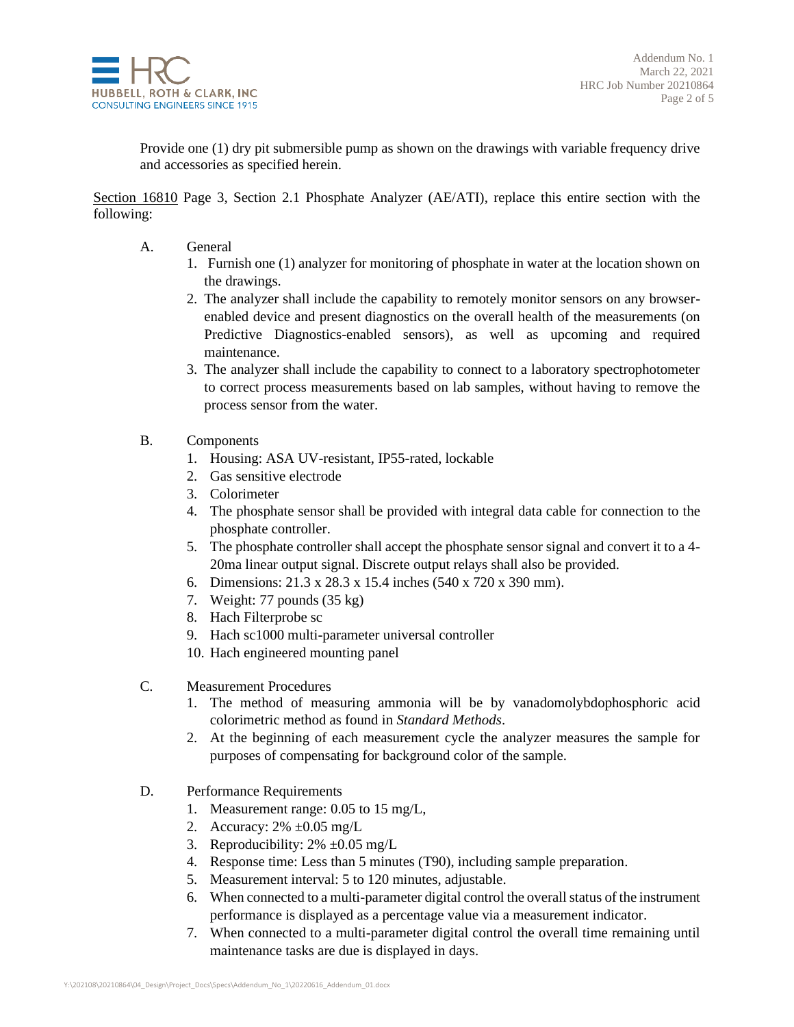

Provide one (1) dry pit submersible pump as shown on the drawings with variable frequency drive and accessories as specified herein.

Section 16810 Page 3, Section 2.1 Phosphate Analyzer (AE/ATI), replace this entire section with the following:

- A. General
	- 1. Furnish one (1) analyzer for monitoring of phosphate in water at the location shown on the drawings.
	- 2. The analyzer shall include the capability to remotely monitor sensors on any browserenabled device and present diagnostics on the overall health of the measurements (on Predictive Diagnostics-enabled sensors), as well as upcoming and required maintenance.
	- 3. The analyzer shall include the capability to connect to a laboratory spectrophotometer to correct process measurements based on lab samples, without having to remove the process sensor from the water.
- B. Components
	- 1. Housing: ASA UV-resistant, IP55-rated, lockable
	- 2. Gas sensitive electrode
	- 3. Colorimeter
	- 4. The phosphate sensor shall be provided with integral data cable for connection to the phosphate controller.
	- 5. The phosphate controller shall accept the phosphate sensor signal and convert it to a 4- 20ma linear output signal. Discrete output relays shall also be provided.
	- 6. Dimensions: 21.3 x 28.3 x 15.4 inches (540 x 720 x 390 mm).
	- 7. Weight: 77 pounds (35 kg)
	- 8. Hach Filterprobe sc
	- 9. Hach sc1000 multi-parameter universal controller
	- 10. Hach engineered mounting panel
- C. Measurement Procedures
	- 1. The method of measuring ammonia will be by vanadomolybdophosphoric acid colorimetric method as found in *Standard Methods*.
	- 2. At the beginning of each measurement cycle the analyzer measures the sample for purposes of compensating for background color of the sample.
- D. Performance Requirements
	- 1. Measurement range: 0.05 to 15 mg/L,
	- 2. Accuracy: 2% ±0.05 mg/L
	- 3. Reproducibility:  $2\% \pm 0.05$  mg/L
	- 4. Response time: Less than 5 minutes (T90), including sample preparation.
	- 5. Measurement interval: 5 to 120 minutes, adjustable.
	- 6. When connected to a multi-parameter digital control the overall status of the instrument performance is displayed as a percentage value via a measurement indicator.
	- 7. When connected to a multi-parameter digital control the overall time remaining until maintenance tasks are due is displayed in days.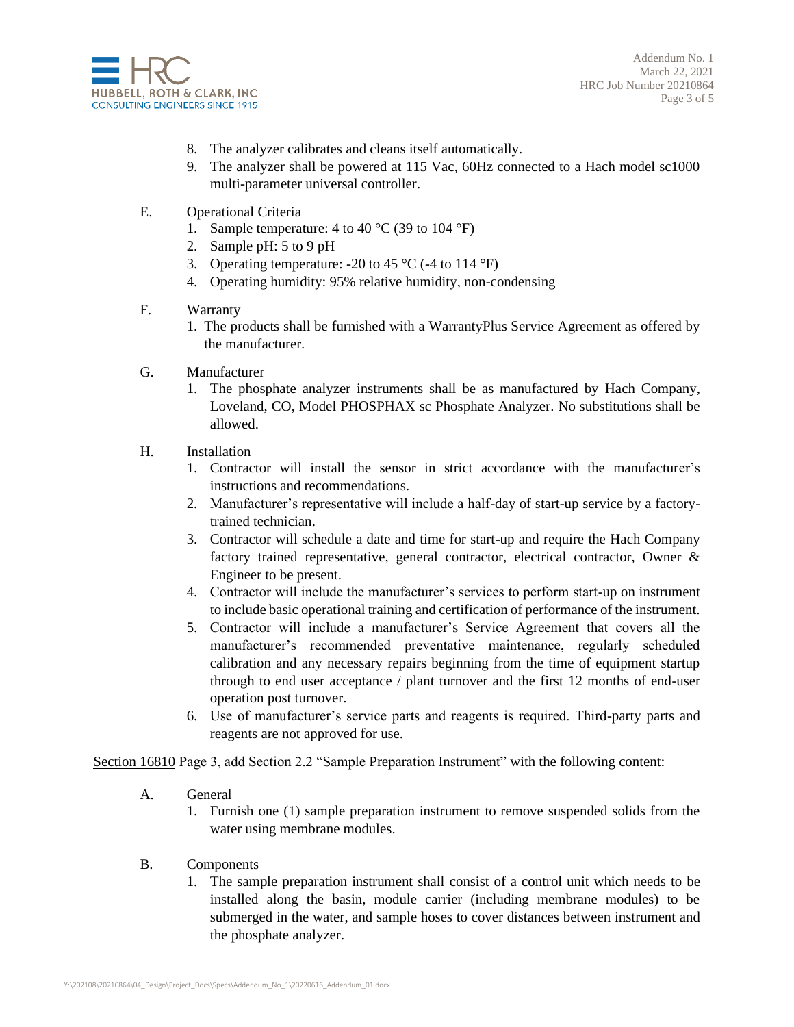

Addendum No. 1 March 22, 2021 HRC Job Number 20210864 Page 3 of 5

- 8. The analyzer calibrates and cleans itself automatically.
- 9. The analyzer shall be powered at 115 Vac, 60Hz connected to a Hach model sc1000 multi-parameter universal controller.
- E. Operational Criteria
	- 1. Sample temperature: 4 to 40  $^{\circ}$ C (39 to 104  $^{\circ}$ F)
	- 2. Sample pH: 5 to 9 pH
	- 3. Operating temperature: -20 to 45  $^{\circ}$ C (-4 to 114  $^{\circ}$ F)
	- 4. Operating humidity: 95% relative humidity, non-condensing
- F. Warranty
	- 1. The products shall be furnished with a WarrantyPlus Service Agreement as offered by the manufacturer.
- G. Manufacturer
	- 1. The phosphate analyzer instruments shall be as manufactured by Hach Company, Loveland, CO, Model PHOSPHAX sc Phosphate Analyzer. No substitutions shall be allowed.
- H. Installation
	- 1. Contractor will install the sensor in strict accordance with the manufacturer's instructions and recommendations.
	- 2. Manufacturer's representative will include a half-day of start-up service by a factorytrained technician.
	- 3. Contractor will schedule a date and time for start-up and require the Hach Company factory trained representative, general contractor, electrical contractor, Owner & Engineer to be present.
	- 4. Contractor will include the manufacturer's services to perform start-up on instrument to include basic operational training and certification of performance of the instrument.
	- 5. Contractor will include a manufacturer's Service Agreement that covers all the manufacturer's recommended preventative maintenance, regularly scheduled calibration and any necessary repairs beginning from the time of equipment startup through to end user acceptance / plant turnover and the first 12 months of end-user operation post turnover.
	- 6. Use of manufacturer's service parts and reagents is required. Third-party parts and reagents are not approved for use.

Section 16810 Page 3, add Section 2.2 "Sample Preparation Instrument" with the following content:

- A. General
	- 1. Furnish one (1) sample preparation instrument to remove suspended solids from the water using membrane modules.
- B. Components
	- 1. The sample preparation instrument shall consist of a control unit which needs to be installed along the basin, module carrier (including membrane modules) to be submerged in the water, and sample hoses to cover distances between instrument and the phosphate analyzer.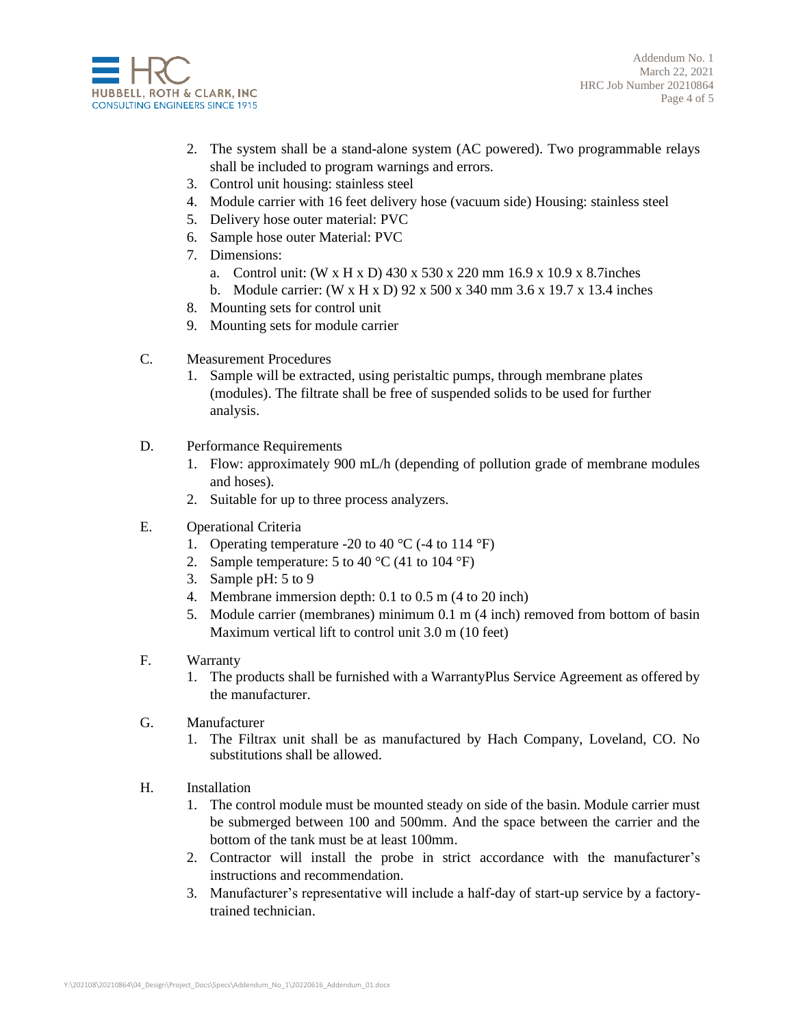

Addendum No. 1 March 22, 2021 HRC Job Number 20210864 Page 4 of 5

- 2. The system shall be a stand-alone system (AC powered). Two programmable relays shall be included to program warnings and errors.
- 3. Control unit housing: stainless steel
- 4. Module carrier with 16 feet delivery hose (vacuum side) Housing: stainless steel
- 5. Delivery hose outer material: PVC
- 6. Sample hose outer Material: PVC
- 7. Dimensions:
	- a. Control unit: (W x H x D) 430 x 530 x 220 mm 16.9 x 10.9 x 8.7inches
	- b. Module carrier: (W x H x D) 92 x 500 x 340 mm 3.6 x 19.7 x 13.4 inches
- 8. Mounting sets for control unit
- 9. Mounting sets for module carrier
- C. Measurement Procedures
	- 1. Sample will be extracted, using peristaltic pumps, through membrane plates (modules). The filtrate shall be free of suspended solids to be used for further analysis.
- D. Performance Requirements
	- 1. Flow: approximately 900 mL/h (depending of pollution grade of membrane modules and hoses).
	- 2. Suitable for up to three process analyzers.
- E. Operational Criteria
	- 1. Operating temperature -20 to 40  $^{\circ}$ C (-4 to 114  $^{\circ}$ F)
	- 2. Sample temperature: 5 to 40  $^{\circ}$ C (41 to 104  $^{\circ}$ F)
	- 3. Sample pH: 5 to 9
	- 4. Membrane immersion depth: 0.1 to 0.5 m (4 to 20 inch)
	- 5. Module carrier (membranes) minimum 0.1 m (4 inch) removed from bottom of basin Maximum vertical lift to control unit 3.0 m (10 feet)
- F. Warranty
	- 1. The products shall be furnished with a WarrantyPlus Service Agreement as offered by the manufacturer.
- G. Manufacturer
	- 1. The Filtrax unit shall be as manufactured by Hach Company, Loveland, CO. No substitutions shall be allowed.
- H. Installation
	- 1. The control module must be mounted steady on side of the basin. Module carrier must be submerged between 100 and 500mm. And the space between the carrier and the bottom of the tank must be at least 100mm.
	- 2. Contractor will install the probe in strict accordance with the manufacturer's instructions and recommendation.
	- 3. Manufacturer's representative will include a half-day of start-up service by a factorytrained technician.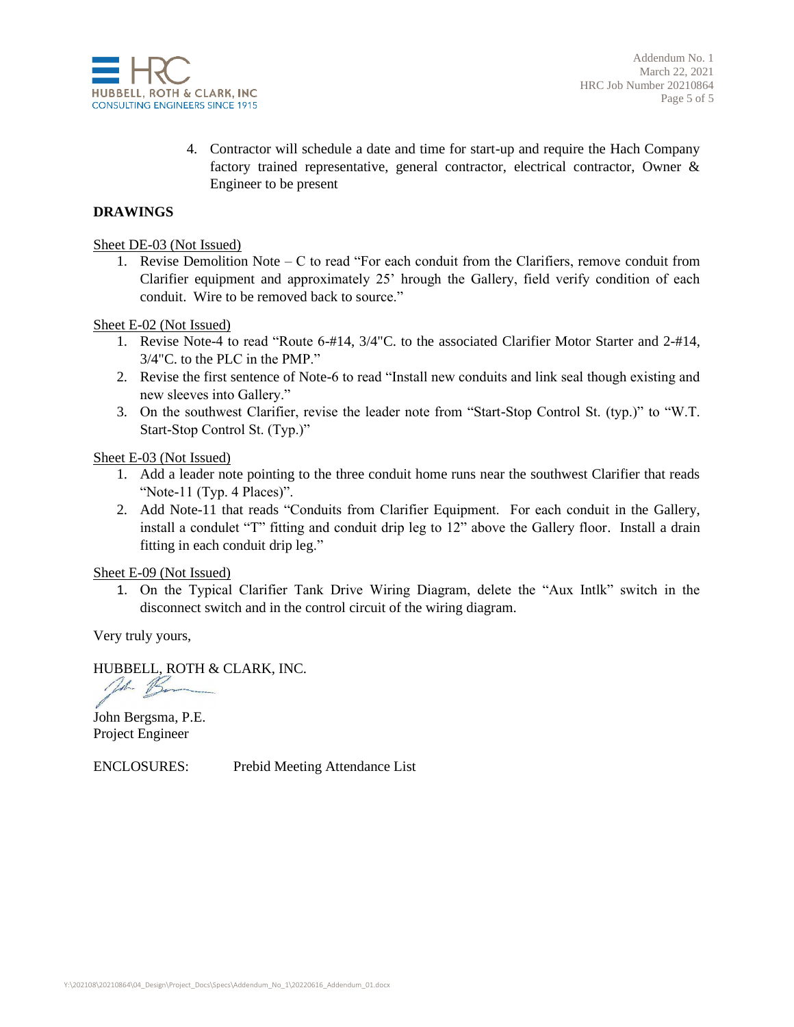

4. Contractor will schedule a date and time for start-up and require the Hach Company factory trained representative, general contractor, electrical contractor, Owner & Engineer to be present

#### **DRAWINGS**

Sheet DE-03 (Not Issued)

1. Revise Demolition Note – C to read "For each conduit from the Clarifiers, remove conduit from Clarifier equipment and approximately 25' hrough the Gallery, field verify condition of each conduit. Wire to be removed back to source."

Sheet E-02 (Not Issued)

- 1. Revise Note-4 to read "Route 6-#14, 3/4"C. to the associated Clarifier Motor Starter and 2-#14, 3/4"C. to the PLC in the PMP."
- 2. Revise the first sentence of Note-6 to read "Install new conduits and link seal though existing and new sleeves into Gallery."
- 3. On the southwest Clarifier, revise the leader note from "Start-Stop Control St. (typ.)" to "W.T. Start-Stop Control St. (Typ.)"

Sheet E-03 (Not Issued)

- 1. Add a leader note pointing to the three conduit home runs near the southwest Clarifier that reads "Note-11 (Typ. 4 Places)".
- 2. Add Note-11 that reads "Conduits from Clarifier Equipment. For each conduit in the Gallery, install a condulet "T" fitting and conduit drip leg to 12" above the Gallery floor. Install a drain fitting in each conduit drip leg."

Sheet E-09 (Not Issued)

1. On the Typical Clarifier Tank Drive Wiring Diagram, delete the "Aux Intlk" switch in the disconnect switch and in the control circuit of the wiring diagram.

Very truly yours,

HUBBELL, ROTH & CLARK, INC.

1 B

John Bergsma, P.E. Project Engineer

ENCLOSURES: Prebid Meeting Attendance List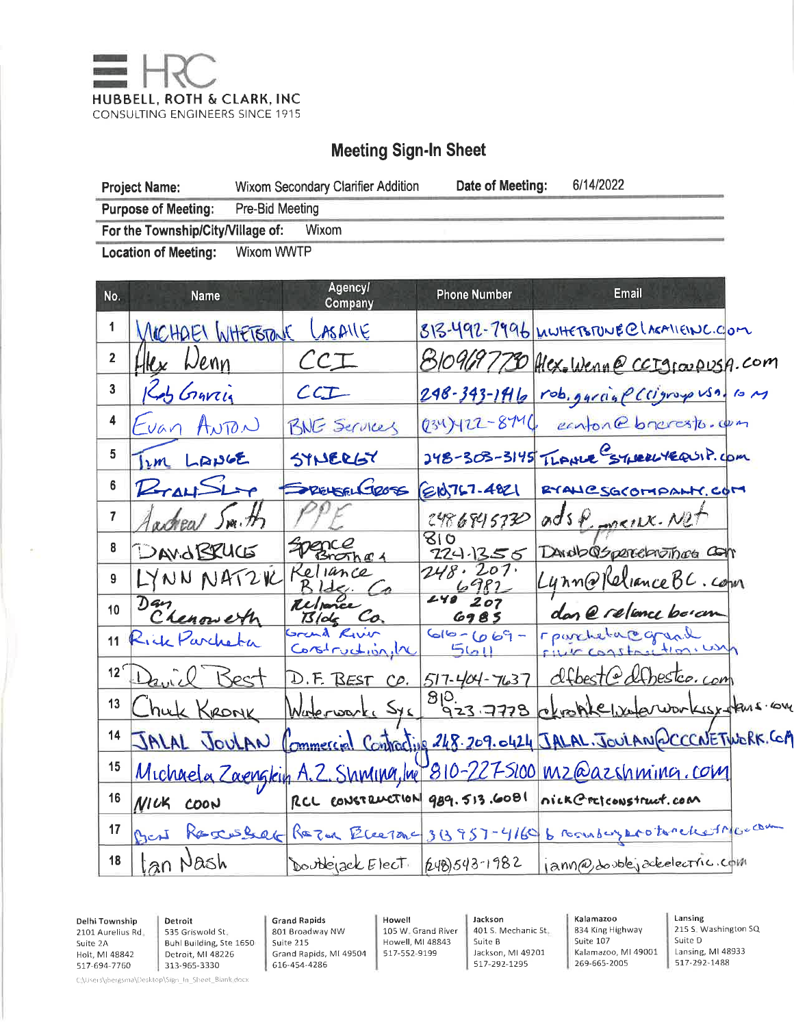

# **Meeting Sign-In Sheet**

| <b>Project Name:</b>                       | Wixom Secondary Clarifier Addition | Date of Meeting: | 6/14/2022 |
|--------------------------------------------|------------------------------------|------------------|-----------|
| <b>Purpose of Meeting:</b>                 | Pre-Bid Meeting                    |                  |           |
| For the Township/City/Village of:<br>Wixom |                                    |                  |           |
| <b>Location of Meeting:</b>                | Wixom WWTP                         |                  |           |

| No.             | Name                | <b>Agency/</b><br>Company       | <b>Phone Number</b> | <b>Email</b>                                                        |
|-----------------|---------------------|---------------------------------|---------------------|---------------------------------------------------------------------|
| 1               | MICHAEL WHETSTANE   | ASAILE                          |                     | 813-492-7996 MWHETSTUNE@LAGA11ENC.COM                               |
| $\overline{2}$  | Hex Wenn            | CCT                             |                     | 8109697730 Hex. Wenne ccrgiovousA.com                               |
| 3               | KAS Graving         | CCT                             |                     | $248 - 343 - 1416$ rob. garage (cigroyo usa. 10 m                   |
| 4               | Evan ANTON          | BNG Services                    | 0347422-8746        | conton@bneresto.com                                                 |
| 5               | im LANGE            | SYNERGY                         |                     | 248-303-3145 TLANCE STURRUYERUIP. COM                               |
| 6               | R                   | PELSELGROSS                     | EIO767-4821         | RYALLCSGCOMPANY.COM                                                 |
| $\overline{7}$  | acheal Smith        |                                 | 2486845730          | adsp <sub>oncux</sub> . Not                                         |
| 8               | DAVIORUCE           | Spence<br>Brother 4             | ८।०<br>724.1356     | DANDOS perceptions                                                  |
| 9               | LYNN NATZK          | Kellance                        | 248.207.            | Lynn@KelianceBC.com                                                 |
| 10              | Dan<br>Chenoweth    | Reporce<br>$B$ lde Co.          | 240 207<br>6985     | dan @ relance boran                                                 |
| 11              | Lick Parcheta       | Grand River<br>Construction, In | $66 - 669 -$<br>561 | rportebacograd                                                      |
| 12 <sup>6</sup> | David Best          |                                 |                     | D.F. BEST CD. 517-404-7637 dfbest@dfbestco.com                      |
| 13              | huk Kronk           |                                 |                     | Waterworke Sys 923 7778 etrophe waterworkist fans on                |
| 14              | JALAL JOULAN        |                                 |                     | Commercial Contracting 248.209.0424 JALAL. JOULAN QCCCNETWORK. Con  |
| 15              |                     |                                 |                     | Michaela Zaengkin A.Z. Shming, Ine 810-227-5100 mz@azshming.com     |
| 16              | <b>NICK</b><br>COON |                                 |                     | RCL CONSTRUCTION 989. 513.6081 nick Cretconstruct.com               |
| 17              | O <sub>1</sub>      |                                 |                     | RESCUELER RETOR ElectOne 313957-4160 6 removement to relief Marchan |
| 18              | Jan Nash            | Double ack Elect [248)543-1982  |                     | jann@dooblejackelectric.com                                         |

Delhi Township 2101 Aurelius Rd Suite 2A Holt, MI 48842 517-694-7760

Detroit 535 Griswold St Buhl Building, Ste 1650 Detroit, MI 48226 313-965-3330

**Grand Rapids** 801 Broadway NW Suite 215 Grand Rapids, MI 49504 616-454-4286

Howell 105 W. Grand River Howell, MI 48843 517-552-9199

Jackson 401 S. Mechanic St. Suite B Jackson, MI 49201 517-292-1295

Kalamazoo 834 King Highway Suite 107 Kalamazoo, MI 49001 269-665-2005

Lansing 215 S. Washington SQ Suite D Lansing, MI 48933 517-292-1488

C.\Users\jbergsma\Desktop\Sign\_In\_Sheet\_Blank.docx